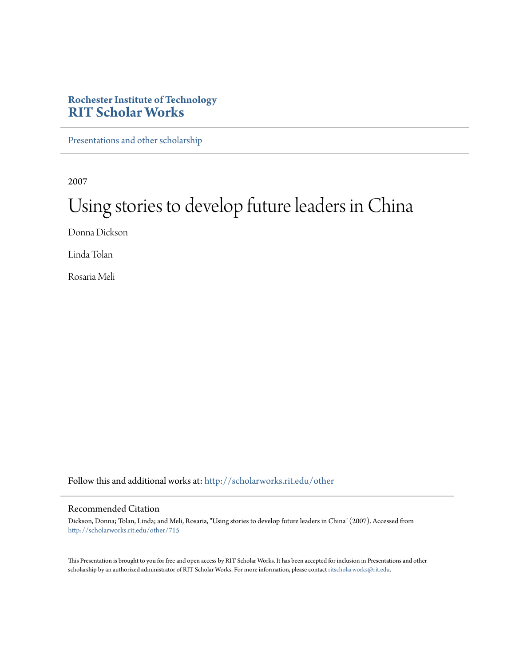## **Rochester Institute of Technology [RIT Scholar Works](http://scholarworks.rit.edu?utm_source=scholarworks.rit.edu%2Fother%2F715&utm_medium=PDF&utm_campaign=PDFCoverPages)**

[Presentations and other scholarship](http://scholarworks.rit.edu/other?utm_source=scholarworks.rit.edu%2Fother%2F715&utm_medium=PDF&utm_campaign=PDFCoverPages)

2007

## Using stories to develop future leaders in China

Donna Dickson

Linda Tolan

Rosaria Meli

Follow this and additional works at: [http://scholarworks.rit.edu/other](http://scholarworks.rit.edu/other?utm_source=scholarworks.rit.edu%2Fother%2F715&utm_medium=PDF&utm_campaign=PDFCoverPages)

#### Recommended Citation

Dickson, Donna; Tolan, Linda; and Meli, Rosaria, "Using stories to develop future leaders in China" (2007). Accessed from [http://scholarworks.rit.edu/other/715](http://scholarworks.rit.edu/other/715?utm_source=scholarworks.rit.edu%2Fother%2F715&utm_medium=PDF&utm_campaign=PDFCoverPages)

This Presentation is brought to you for free and open access by RIT Scholar Works. It has been accepted for inclusion in Presentations and other scholarship by an authorized administrator of RIT Scholar Works. For more information, please contact [ritscholarworks@rit.edu](mailto:ritscholarworks@rit.edu).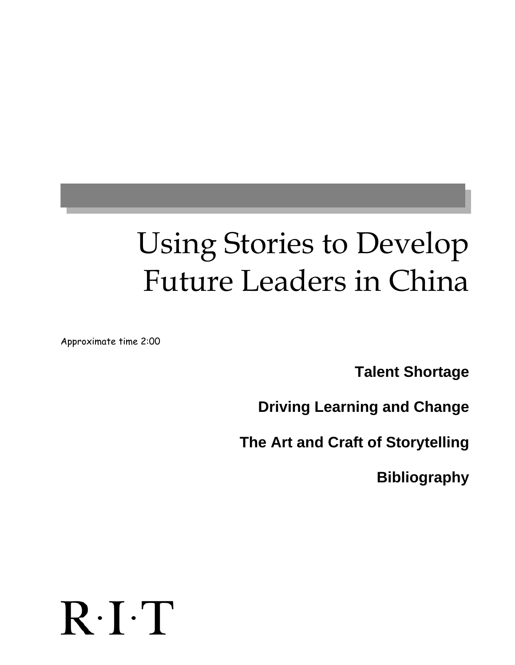# Using Stories to Develop Future Leaders in China

Approximate time 2:00

**Talent Shortage** 

**Driving Learning and Change** 

**The Art and Craft of Storytelling** 

**Bibliography** 

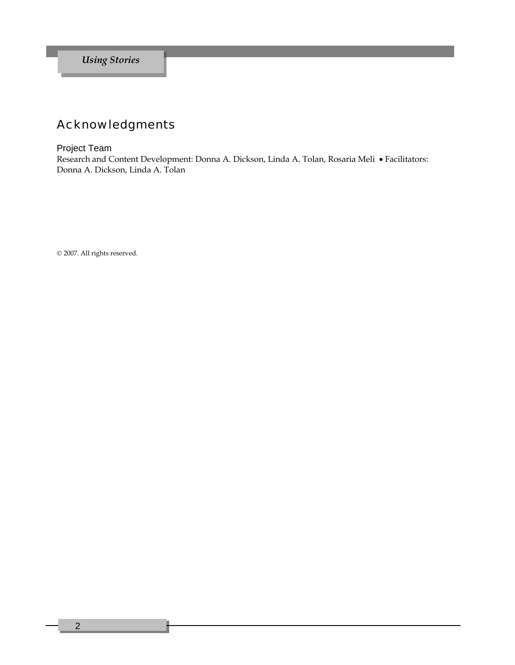## Acknowledgments

Project Team

Research and Content Development: Donna A. Dickson, Linda A. Tolan, Rosaria Meli • Facilitators: Donna A. Dickson, Linda A. Tolan

© 2007. All rights reserved.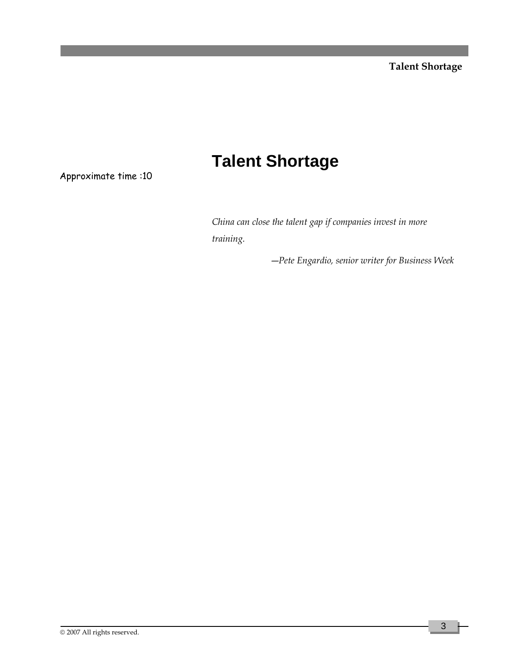**Talent Shortage** 

## **Talent Shortage**

Approximate time :10

*China can close the talent gap if companies invest in more training.* 

*―Pete Engardio, senior writer for Business Week*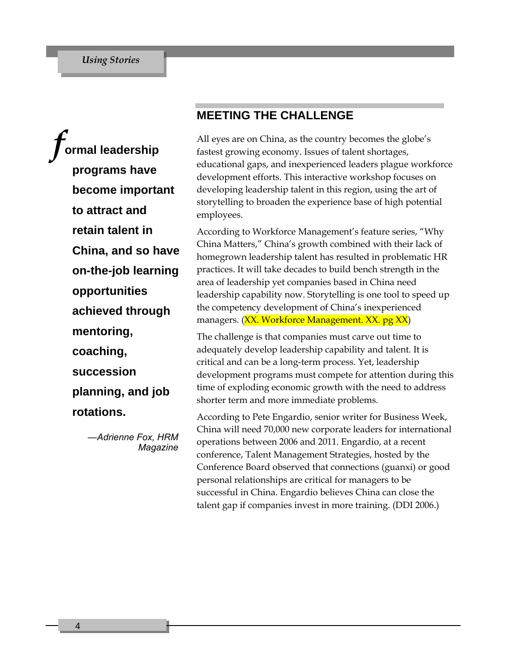*f***ormal leadership programs have become important to attract and retain talent in China, and so have on-the-job learning opportunities achieved through mentoring, coaching, succession planning, and job rotations.** 

> *—Adrienne Fox, HRM Magazine*

## **MEETING THE CHALLENGE**

All eyes are on China, as the country becomes the globe's fastest growing economy. Issues of talent shortages, educational gaps, and inexperienced leaders plague workforce development efforts. This interactive workshop focuses on developing leadership talent in this region, using the art of storytelling to broaden the experience base of high potential employees.

According to Workforce Management's feature series, "Why China Matters," China's growth combined with their lack of homegrown leadership talent has resulted in problematic HR practices. It will take decades to build bench strength in the area of leadership yet companies based in China need leadership capability now. Storytelling is one tool to speed up the competency development of China's inexperienced managers. (XX. Workforce Management. XX. pg XX)

The challenge is that companies must carve out time to adequately develop leadership capability and talent. It is critical and can be a long-term process. Yet, leadership development programs must compete for attention during this time of exploding economic growth with the need to address shorter term and more immediate problems.

According to Pete Engardio, senior writer for Business Week, China will need 70,000 new corporate leaders for international operations between 2006 and 2011. Engardio, at a recent conference, Talent Management Strategies, hosted by the Conference Board observed that connections (guanxi) or good personal relationships are critical for managers to be successful in China. Engardio believes China can close the talent gap if companies invest in more training. (DDI 2006.)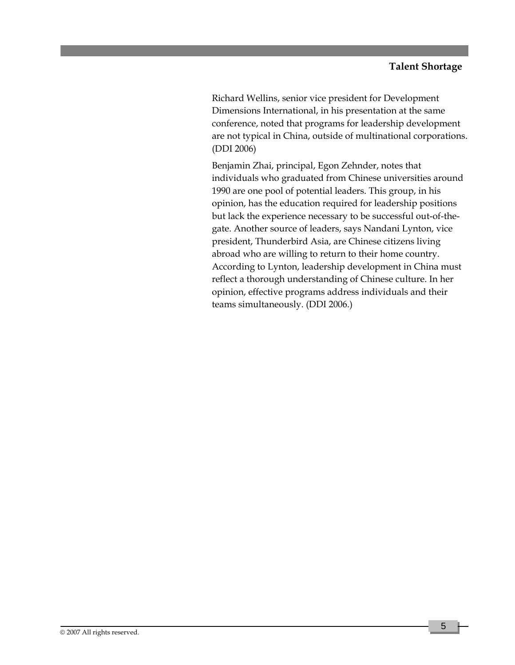### **Talent Shortage**

Richard Wellins, senior vice president for Development Dimensions International, in his presentation at the same conference, noted that programs for leadership development are not typical in China, outside of multinational corporations. (DDI 2006)

Benjamin Zhai, principal, Egon Zehnder, notes that individuals who graduated from Chinese universities around 1990 are one pool of potential leaders. This group, in his opinion, has the education required for leadership positions but lack the experience necessary to be successful out-of-thegate. Another source of leaders, says Nandani Lynton, vice president, Thunderbird Asia, are Chinese citizens living abroad who are willing to return to their home country. According to Lynton, leadership development in China must reflect a thorough understanding of Chinese culture. In her opinion, effective programs address individuals and their teams simultaneously. (DDI 2006.)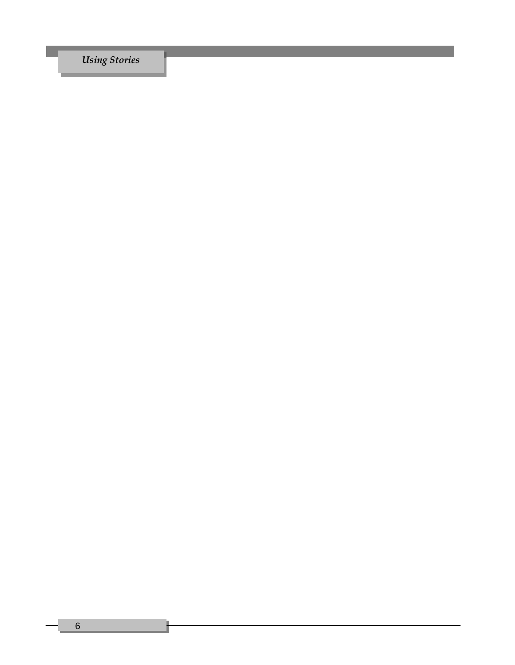*Using Stories*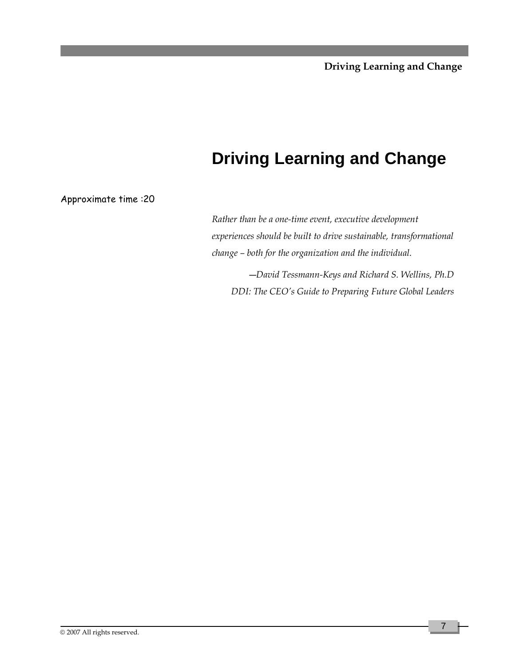## **Driving Learning and Change**

Approximate time :20

*Rather than be a one-time event, executive development experiences should be built to drive sustainable, transformational change – both for the organization and the individual.* 

*―David Tessmann-Keys and Richard S. Wellins, Ph.D DDI: The CEO's Guide to Preparing Future Global Leaders*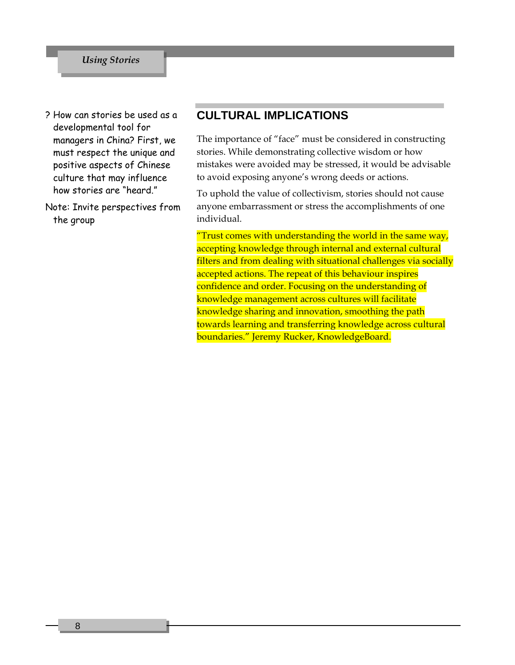### *Using Stories*

developmental tool for managers in China? First, we must respect the unique and positive aspects of Chinese culture that may influence how stories are "heard."

Note: Invite perspectives from the group

## ? How can stories be used as a **CULTURAL IMPLICATIONS**

The importance of "face" must be considered in constructing stories. While demonstrating collective wisdom or how mistakes were avoided may be stressed, it would be advisable to avoid exposing anyone's wrong deeds or actions.

To uphold the value of collectivism, stories should not cause anyone embarrassment or stress the accomplishments of one individual.

"Trust comes with understanding the world in the same way, accepting knowledge through internal and external cultural filters and from dealing with situational challenges via socially accepted actions. The repeat of this behaviour inspires confidence and order. Focusing on the understanding of knowledge management across cultures will facilitate knowledge sharing and innovation, smoothing the path towards learning and transferring knowledge across cultural boundaries." Jeremy Rucker, KnowledgeBoard.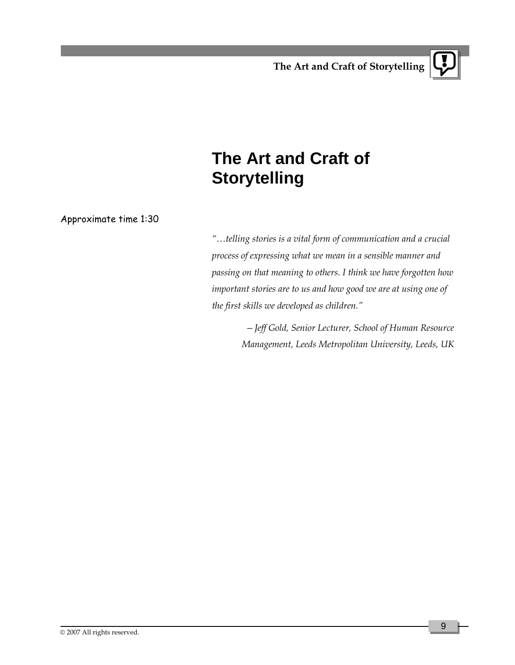

## **The Art and Craft of Storytelling**

Approximate time 1:30

*"…telling stories is a vital form of communication and a crucial process of expressing what we mean in a sensible manner and passing on that meaning to others. I think we have forgotten how important stories are to us and how good we are at using one of the first skills we developed as children."* 

> *—Jeff Gold, Senior Lecturer, School of Human Resource Management, Leeds Metropolitan University, Leeds, UK*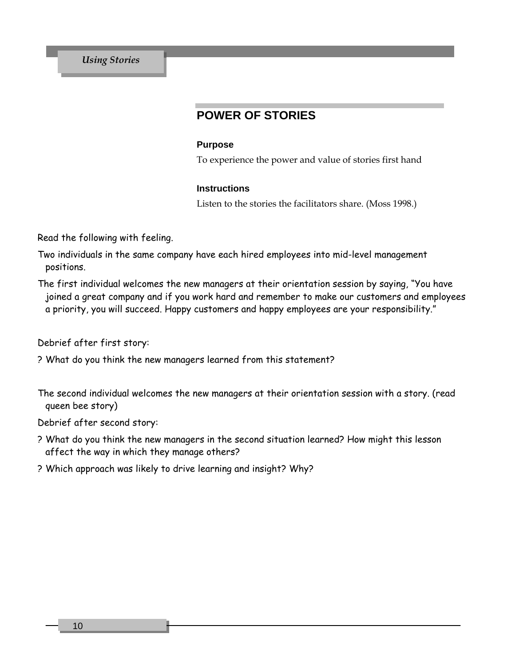## **POWER OF STORIES**

### **Purpose**

To experience the power and value of stories first hand

### **Instructions**

Listen to the stories the facilitators share. (Moss 1998.)

Read the following with feeling.

Two individuals in the same company have each hired employees into mid-level management positions.

The first individual welcomes the new managers at their orientation session by saying, "You have joined a great company and if you work hard and remember to make our customers and employees a priority, you will succeed. Happy customers and happy employees are your responsibility."

Debrief after first story:

? What do you think the new managers learned from this statement?

The second individual welcomes the new managers at their orientation session with a story. (read queen bee story)

Debrief after second story:

? What do you think the new managers in the second situation learned? How might this lesson affect the way in which they manage others?

? Which approach was likely to drive learning and insight? Why?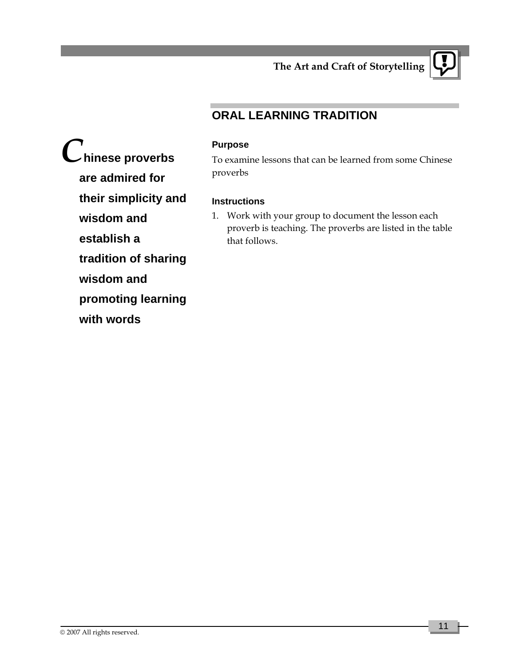

## **ORAL LEARNING TRADITION**

## **Purpose**

To examine lessons that can be learned from some Chinese proverbs

## **Instructions**

1. Work with your group to document the lesson each proverb is teaching. The proverbs are listed in the table that follows.

**establish a** 

**wisdom and** 

*C***hinese proverbs** 

**are admired for** 

**tradition of sharing** 

**their simplicity and** 

**wisdom and** 

**promoting learning** 

**with words**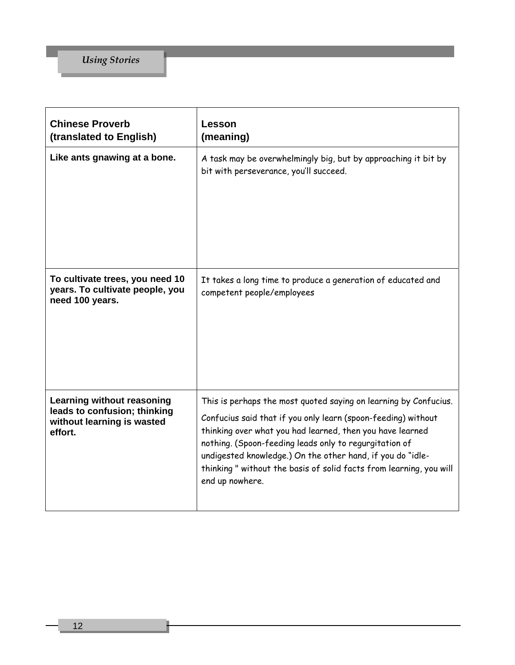| <b>Chinese Proverb</b><br>(translated to English)                                                   | Lesson<br>(meaning)                                                                                                                                                                                                                                                                                                                                                                                              |
|-----------------------------------------------------------------------------------------------------|------------------------------------------------------------------------------------------------------------------------------------------------------------------------------------------------------------------------------------------------------------------------------------------------------------------------------------------------------------------------------------------------------------------|
| Like ants gnawing at a bone.                                                                        | A task may be overwhelmingly big, but by approaching it bit by<br>bit with perseverance, you'll succeed.                                                                                                                                                                                                                                                                                                         |
| To cultivate trees, you need 10<br>years. To cultivate people, you<br>need 100 years.               | It takes a long time to produce a generation of educated and<br>competent people/employees                                                                                                                                                                                                                                                                                                                       |
| Learning without reasoning<br>leads to confusion; thinking<br>without learning is wasted<br>effort. | This is perhaps the most quoted saying on learning by Confucius.<br>Confucius said that if you only learn (spoon-feeding) without<br>thinking over what you had learned, then you have learned<br>nothing. (Spoon-feeding leads only to regurgitation of<br>undigested knowledge.) On the other hand, if you do "idle-<br>thinking " without the basis of solid facts from learning, you will<br>end up nowhere. |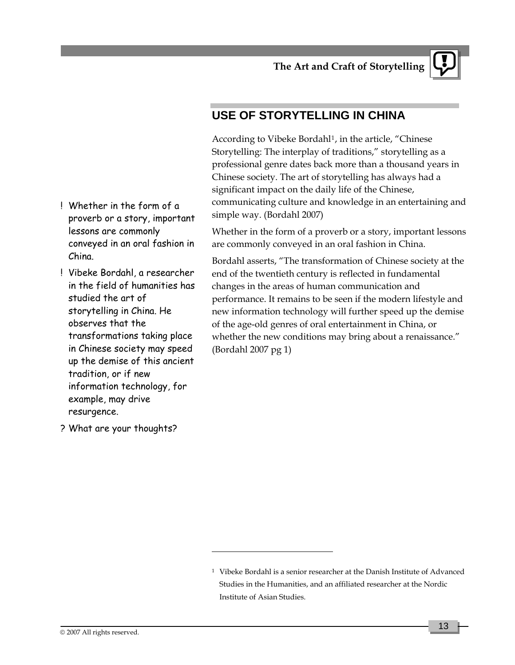

## **USE OF STORYTELLING IN CHINA**

According to Vibeke Bordahl<sup>[1](#page-13-0)</sup>, in the article, "Chinese" Storytelling: The interplay of traditions," storytelling as a professional genre dates back more than a thousand years in Chinese society. The art of storytelling has always had a significant impact on the daily life of the Chinese, communicating culture and knowledge in an entertaining and simple way. (Bordahl 2007)

Whether in the form of a proverb or a story, important lessons are commonly conveyed in an oral fashion in China.

Bordahl asserts, "The transformation of Chinese society at the end of the twentieth century is reflected in fundamental changes in the areas of human communication and performance. It remains to be seen if the modern lifestyle and new information technology will further speed up the demise of the age-old genres of oral entertainment in China, or whether the new conditions may bring about a renaissance." (Bordahl 2007 pg 1)

- ! Whether in the form of a proverb or a story, important lessons are commonly conveyed in an oral fashion in China.
- ! Vibeke Bordahl, a researcher in the field of humanities has studied the art of storytelling in China. He observes that the transformations taking place in Chinese society may speed up the demise of this ancient tradition, or if new information technology, for example, may drive resurgence.
- <span id="page-13-0"></span>? What are your thoughts?

<u>.</u>

<sup>1</sup> Vibeke Bordahl is a senior researcher at the Danish Institute of Advanced Studies in the Humanities, and an affiliated researcher at the Nordic Institute of Asian Studies.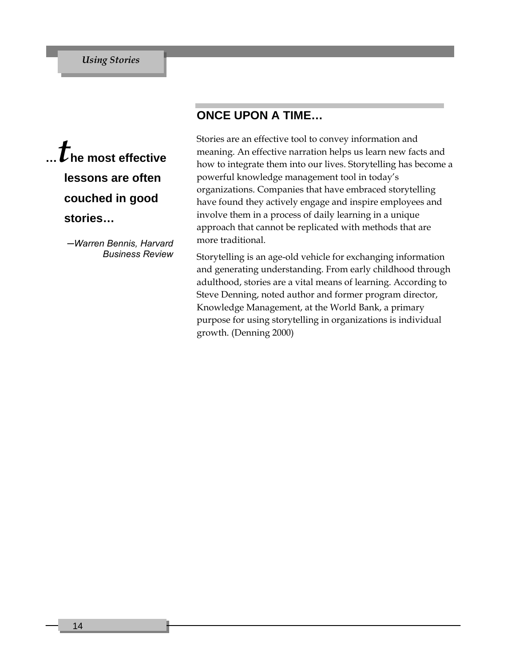## **ONCE UPON A TIME…**

**…***t***he most effective lessons are often couched in good stories…** 

> *─Warren Bennis, Harvard Business Review*

Stories are an effective tool to convey information and meaning. An effective narration helps us learn new facts and how to integrate them into our lives. Storytelling has become a powerful knowledge management tool in today's organizations. Companies that have embraced storytelling have found they actively engage and inspire employees and involve them in a process of daily learning in a unique approach that cannot be replicated with methods that are more traditional.

Storytelling is an age-old vehicle for exchanging information and generating understanding. From early childhood through adulthood, stories are a vital means of learning. According to Steve Denning, noted author and former program director, Knowledge Management, at the World Bank, a primary purpose for using storytelling in organizations is individual growth. (Denning 2000)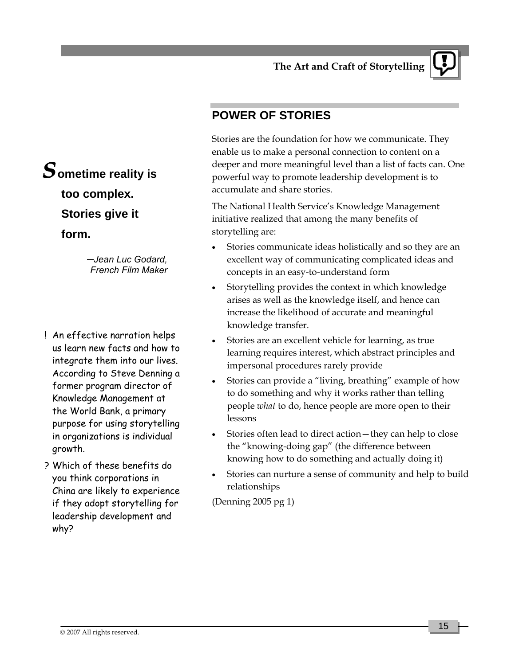

## **POWER OF STORIES**

Stories are the foundation for how we communicate. They enable us to make a personal connection to content on a deeper and more meaningful level than a list of facts can. One powerful way to promote leadership development is to accumulate and share stories.

The National Health Service's Knowledge Management initiative realized that among the many benefits of storytelling are:

- Stories communicate ideas holistically and so they are an excellent way of communicating complicated ideas and concepts in an easy-to-understand form
- Storytelling provides the context in which knowledge arises as well as the knowledge itself, and hence can increase the likelihood of accurate and meaningful knowledge transfer.
- Stories are an excellent vehicle for learning, as true learning requires interest, which abstract principles and impersonal procedures rarely provide
- Stories can provide a "living, breathing" example of how to do something and why it works rather than telling people *what* to do, hence people are more open to their lessons
- Stories often lead to direct action—they can help to close the "knowing-doing gap" (the difference between knowing how to do something and actually doing it)
- Stories can nurture a sense of community and help to build relationships

(Denning 2005 pg 1)

*s***ometime reality is too complex. Stories give it form.** 

> *─[Jean Luc Godard,](http://www.carleton.edu/curricular/MEDA/classes/media110/Friesema/intro.html) French Film Maker*

- ! An effective narration helps us learn new facts and how to integrate them into our lives. According to Steve Denning a former program director of Knowledge Management at the World Bank, a primary purpose for using storytelling in organizations is individual growth.
- ? Which of these benefits do you think corporations in China are likely to experience if they adopt storytelling for leadership development and why?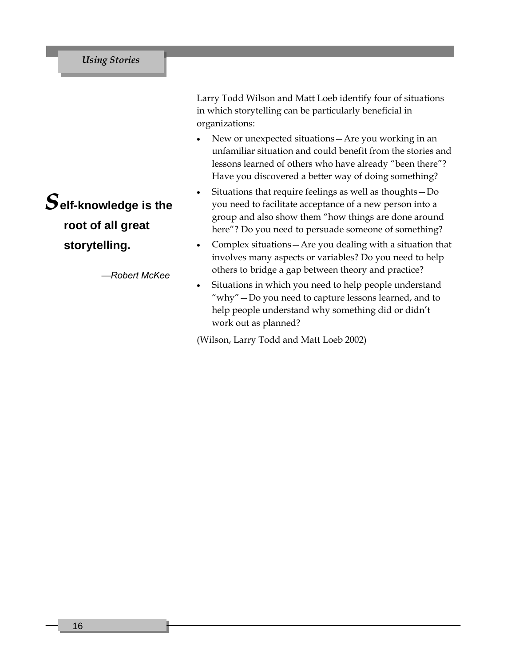## *Using Stories*

Larry Todd Wilson and Matt Loeb identify four of situations in which storytelling can be particularly beneficial in organizations:

- New or unexpected situations—Are you working in an unfamiliar situation and could benefit from the stories and lessons learned of others who have already "been there"? Have you discovered a better way of doing something?
- Situations that require feelings as well as thoughts—Do you need to facilitate acceptance of a new person into a group and also show them "how things are done around here"? Do you need to persuade someone of something?
- Complex situations—Are you dealing with a situation that involves many aspects or variables? Do you need to help others to bridge a gap between theory and practice?
- Situations in which you need to help people understand "why"—Do you need to capture lessons learned, and to help people understand why something did or didn't work out as planned?

(Wilson, Larry Todd and Matt Loeb 2002)

**elf-knowledge is the root of all great storytelling.** 

*—Robert McKee*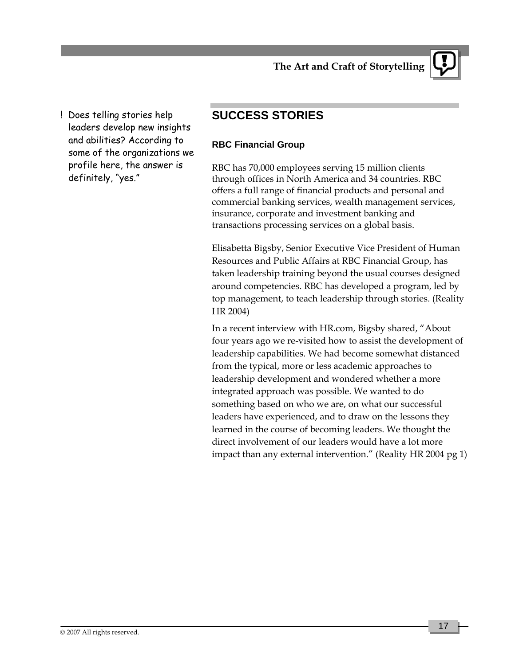

## **RBC Financial Group**

RBC has 70,000 employees serving 15 million clients through offices in North America and 34 countries. RBC offers a full range of financial products and personal and commercial banking services, wealth management services, insurance, corporate and investment banking and transactions processing services on a global basis.

Elisabetta Bigsby, Senior Executive Vice President of Human Resources and Public Affairs at RBC Financial Group, has taken leadership training beyond the usual courses designed around competencies. RBC has developed a program, led by top management, to teach leadership through stories. (Reality HR 2004)

In a recent interview with HR.com, Bigsby shared, "About four years ago we re-visited how to assist the development of leadership capabilities. We had become somewhat distanced from the typical, more or less academic approaches to leadership development and wondered whether a more integrated approach was possible. We wanted to do something based on who we are, on what our successful leaders have experienced, and to draw on the lessons they learned in the course of becoming leaders. We thought the direct involvement of our leaders would have a lot more impact than any external intervention." (Reality HR 2004 pg 1)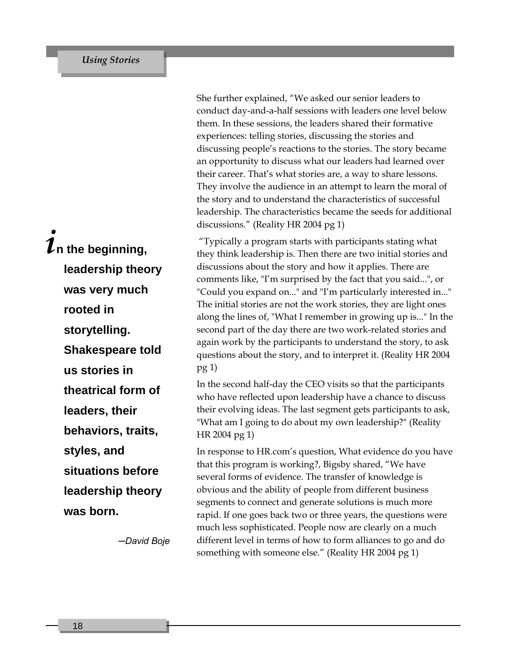$\boldsymbol{\mathcal{I}}$ n the beginning,

**leadership theory was very much rooted in storytelling. Shakespeare told us stories in theatrical form of leaders, their behaviors, traits, styles, and situations before leadership theory** 

**was born.** 

She further explained, "We asked our senior leaders to conduct day-and-a-half sessions with leaders one level below them. In these sessions, the leaders shared their formative experiences: telling stories, discussing the stories and discussing people's reactions to the stories. The story became an opportunity to discuss what our leaders had learned over their career. That's what stories are, a way to share lessons. They involve the audience in an attempt to learn the moral of the story and to understand the characteristics of successful leadership. The characteristics became the seeds for additional discussions." (Reality HR 2004 pg 1)

 "Typically a program starts with participants stating what they think leadership is. Then there are two initial stories and discussions about the story and how it applies. There are comments like, "I'm surprised by the fact that you said...", or "Could you expand on..." and "I'm particularly interested in..." The initial stories are not the work stories, they are light ones along the lines of, "What I remember in growing up is..." In the second part of the day there are two work-related stories and again work by the participants to understand the story, to ask questions about the story, and to interpret it. (Reality HR 2004 pg 1)

In the second half-day the CEO visits so that the participants who have reflected upon leadership have a chance to discuss their evolving ideas. The last segment gets participants to ask, "What am I going to do about my own leadership?" (Reality HR 2004 pg 1)

In response to HR.com's question, What evidence do you have that this program is working?, Bigsby shared, "We have several forms of evidence. The transfer of knowledge is obvious and the ability of people from different business segments to connect and generate solutions is much more rapid. If one goes back two or three years, the questions were much less sophisticated. People now are clearly on a much different level in terms of how to form alliances to go and do something with someone else." (Reality HR 2004 pg 1)

*─David Boje*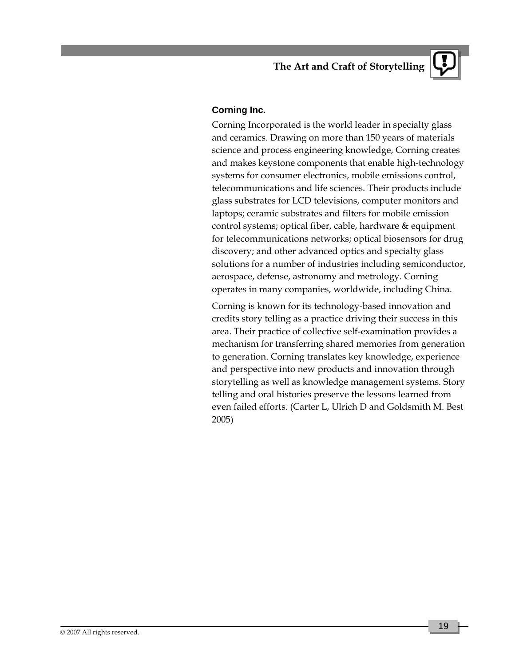## **Corning Inc.**

Corning Incorporated is the world leader in specialty glass and ceramics. Drawing on more than 150 years of materials science and process engineering knowledge, Corning creates and makes keystone components that enable high-technology systems for consumer electronics, mobile emissions control, telecommunications and life sciences. Their products include glass substrates for LCD televisions, computer monitors and laptops; ceramic substrates and filters for mobile emission control systems; optical fiber, cable, hardware & equipment for telecommunications networks; optical biosensors for drug discovery; and other advanced optics and specialty glass solutions for a number of industries including semiconductor, aerospace, defense, astronomy and metrology. Corning operates in many companies, worldwide, including China.

Corning is known for its technology-based innovation and credits story telling as a practice driving their success in this area. Their practice of collective self-examination provides a mechanism for transferring shared memories from generation to generation. Corning translates key knowledge, experience and perspective into new products and innovation through storytelling as well as knowledge management systems. Story telling and oral histories preserve the lessons learned from even failed efforts. (Carter L, Ulrich D and Goldsmith M. Best 2005)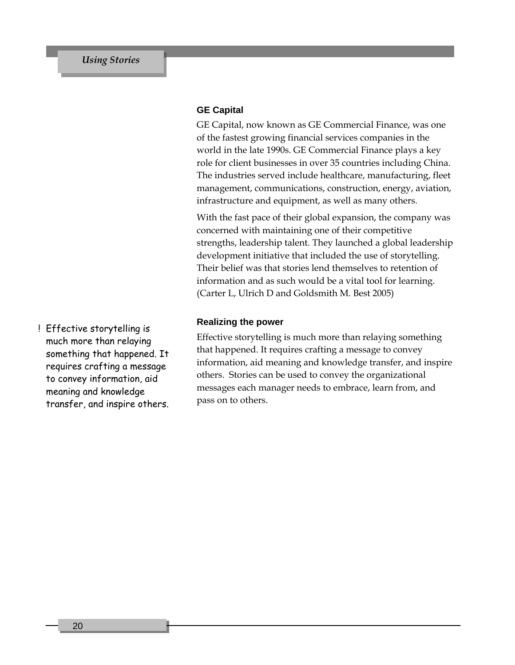**Realizing the power** ! Effective storytelling is much more than relaying something that happened. It requires crafting a message to convey information, aid meaning and knowledge transfer, and inspire others.

## **GE Capital**

GE Capital, now known as GE Commercial Finance, was one of the fastest growing financial services companies in the world in the late 1990s. GE Commercial Finance plays a key role for client businesses in over 35 countries including China. The industries served include healthcare, manufacturing, fleet management, communications, construction, energy, aviation, infrastructure and equipment, as well as many others.

With the fast pace of their global expansion, the company was concerned with maintaining one of their competitive strengths, leadership talent. They launched a global leadership development initiative that included the use of storytelling. Their belief was that stories lend themselves to retention of information and as such would be a vital tool for learning. (Carter L, Ulrich D and Goldsmith M. Best 2005)

Effective storytelling is much more than relaying something that happened. It requires crafting a message to convey information, aid meaning and knowledge transfer, and inspire others. Stories can be used to convey the organizational messages each manager needs to embrace, learn from, and pass on to others.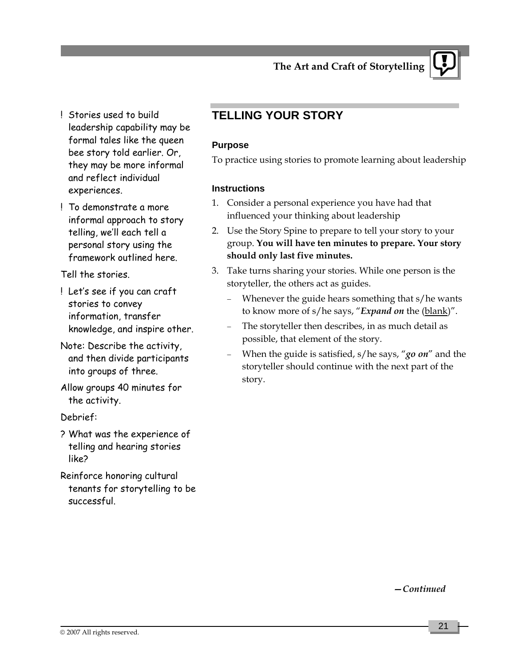

! To demonstrate a more informal approach to story telling, we'll each tell a personal story using the framework outlined here.

Tell the stories.

! Let's see if you can craft stories to convey information, transfer knowledge, and inspire other.

Note: Describe the activity, and then divide participants into groups of three.

Allow groups 40 minutes for the activity.

Debrief:

? What was the experience of telling and hearing stories like?

Reinforce honoring cultural tenants for storytelling to be successful.

## **Purpose**

To practice using stories to promote learning about leadership

## **Instructions**

- 1. Consider a personal experience you have had that influenced your thinking about leadership
- 2. Use the Story Spine to prepare to tell your story to your group. **You will have ten minutes to prepare. Your story should only last five minutes.**
- 3. Take turns sharing your stories. While one person is the storyteller, the others act as guides.
	- Whenever the guide hears something that s/he wants to know more of s/he says, "*Expand on* the (blank)".
	- The storyteller then describes, in as much detail as possible, that element of the story.
	- − When the guide is satisfied, s/he says, "*go on*" and the storyteller should continue with the next part of the story.

*—Continued*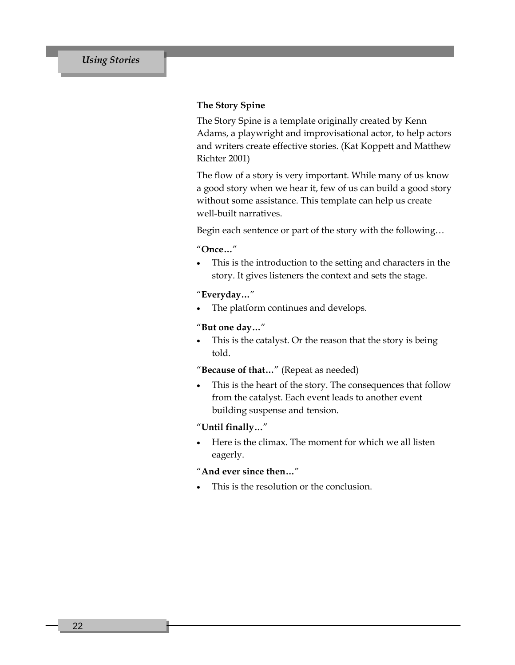#### **The Story Spine**

The Story Spine is a template originally created by Kenn Adams, a playwright and improvisational actor, to help actors and writers create effective stories. (Kat Koppett and Matthew Richter 2001)

The flow of a story is very important. While many of us know a good story when we hear it, few of us can build a good story without some assistance. This template can help us create well-built narratives.

Begin each sentence or part of the story with the following…

#### "**Once…**"

• This is the introduction to the setting and characters in the story. It gives listeners the context and sets the stage.

#### "**Everyday…**"

The platform continues and develops.

#### "**But one day…**"

• This is the catalyst. Or the reason that the story is being told.

"**Because of that…**" (Repeat as needed)

• This is the heart of the story. The consequences that follow from the catalyst. Each event leads to another event building suspense and tension.

#### "**Until finally…**"

• Here is the climax. The moment for which we all listen eagerly.

#### "**And ever since then…**"

This is the resolution or the conclusion.